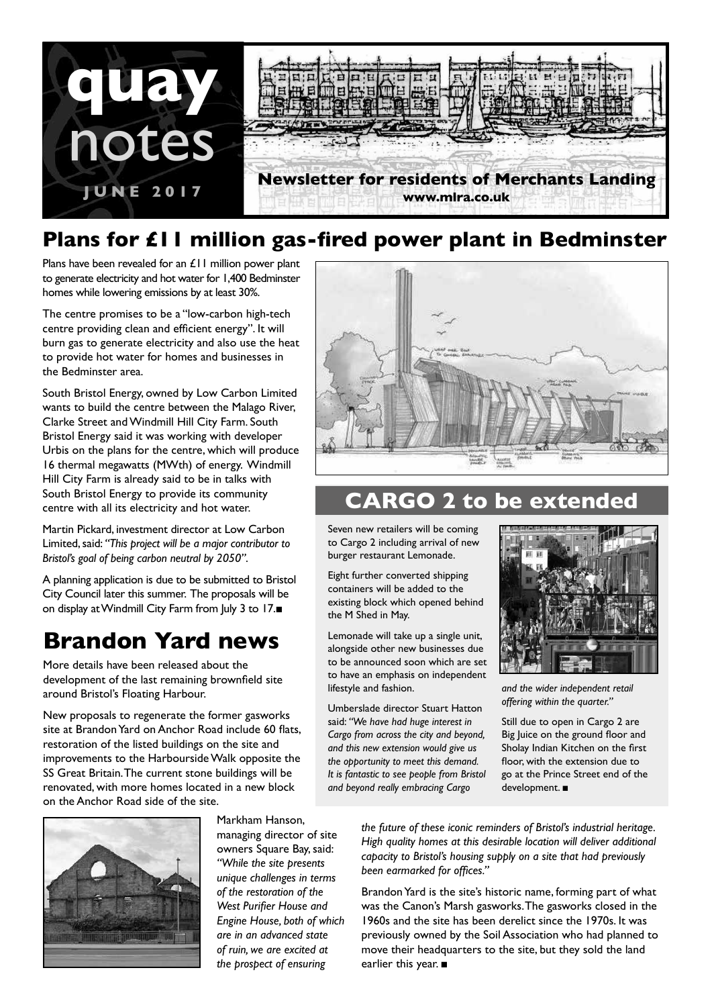

### **Plans for £11 million gas-fired power plant in Bedminster**

Plans have been revealed for an £11 million power plant to generate electricity and hot water for 1,400 Bedminster homes while lowering emissions by at least 30%.

The centre promises to be a "low-carbon high-tech centre providing clean and efficient energy". It will burn gas to generate electricity and also use the heat to provide hot water for homes and businesses in the Bedminster area.

South Bristol Energy, owned by Low Carbon Limited wants to build the centre between the Malago River, Clarke Street and Windmill Hill City Farm. South Bristol Energy said it was working with developer Urbis on the plans for the centre, which will produce 16 thermal megawatts (MWth) of energy. Windmill Hill City Farm is already said to be in talks with South Bristol Energy to provide its community centre with all its electricity and hot water.

Martin Pickard, investment director at Low Carbon Limited, said: *"This project will be a major contributor to Bristol's goal of being carbon neutral by 2050"*.

A planning application is due to be submitted to Bristol City Council later this summer. The proposals will be on display at Windmill City Farm from July 3 to 17.■

# **Brandon Yard news**

More details have been released about the development of the last remaining brownfield site around Bristol's Floating Harbour.

New proposals to regenerate the former gasworks site at Brandon Yard on Anchor Road include 60 flats, restoration of the listed buildings on the site and improvements to the Harbourside Walk opposite the SS Great Britain. The current stone buildings will be renovated, with more homes located in a new block on the Anchor Road side of the site.



## **CARGO 2 to be extended**

Seven new retailers will be coming to Cargo 2 including arrival of new burger restaurant Lemonade.

Eight further converted shipping containers will be added to the existing block which opened behind the M Shed in May.

Lemonade will take up a single unit, alongside other new businesses due to be announced soon which are set to have an emphasis on independent lifestyle and fashion.

Umberslade director Stuart Hatton said: *"We have had huge interest in Cargo from across the city and beyond, and this new extension would give us the opportunity to meet this demand. It is fantastic to see people from Bristol and beyond really embracing Cargo* 



*and the wider independent retail offering within the quarter."*

Still due to open in Cargo 2 are Big Juice on the ground floor and Sholay Indian Kitchen on the first floor, with the extension due to go at the Prince Street end of the development. ■



Markham Hanson, managing director of site owners Square Bay, said: *"While the site presents unique challenges in terms of the restoration of the West Purifier House and Engine House, both of which are in an advanced state of ruin, we are excited at the prospect of ensuring* 

*the future of these iconic reminders of Bristol's industrial heritage. High quality homes at this desirable location will deliver additional capacity to Bristol's housing supply on a site that had previously been earmarked for offices."*

Brandon Yard is the site's historic name, forming part of what was the Canon's Marsh gasworks. The gasworks closed in the 1960s and the site has been derelict since the 1970s. It was previously owned by the Soil Association who had planned to move their headquarters to the site, but they sold the land earlier this year. ■